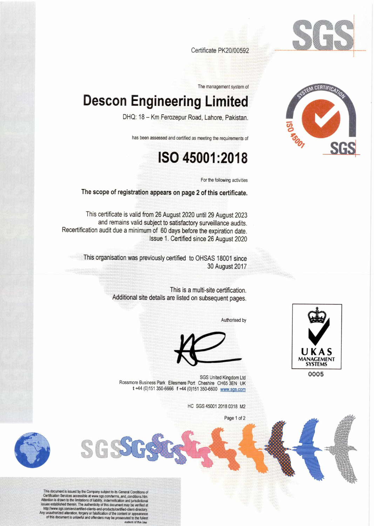

EM CERTIFICAT

Certificate PK20/00592

The management system of

## **Descon Engineering Limited**

DHQ: 18 — Km Ferozepur Road, Lahore, Pakistan.

has been assessed and certified as meeting the requirements of

## **ISO 45001:2018**

For the following activities

The scope of registration appears on page 2 of this certificate.

This certificate is valid from 26 August 2020 until 29 August 2023 and remains valid subject to satisfactory surveillance audits. Recertification audit due a minimum of 60 days before the expiration date. Issue 1. Certified since 26 August 2020

> This organisation was previously certified to OHSAS 18001 since 30 August 2017

> > This is a multi-site certification. Additional site details are listed on subsequent pages.

> > > Authorised by



SGS United Kingdom Ltd 0005 Rossmore Business Park Ellesmere Port Cheshire CH65 3EN UK t +44 (0)151 350-6666 f +44 (0)151 350-6600 www.sqs.corn

HC SGS 45001 2018 0318 M2

Page 1 of 2



This document is issued by the Company subject to its General Conditions of Let uncation Services accessible at www.sgs.com/terms\_and\_conditions.htm.<br>Attention is drawn to the limitations of liability, indemnification and jurisdictional issues established therein. The authenticity of this document may be verified at http://www.sgs.com/en/certified-clients-and-products/certified-client-directory. Any unauthorized alteration, forgery or falsification of the content or appearance of this document is unlawful and offenders may be prosecuted to the fullest extent of the law

COC